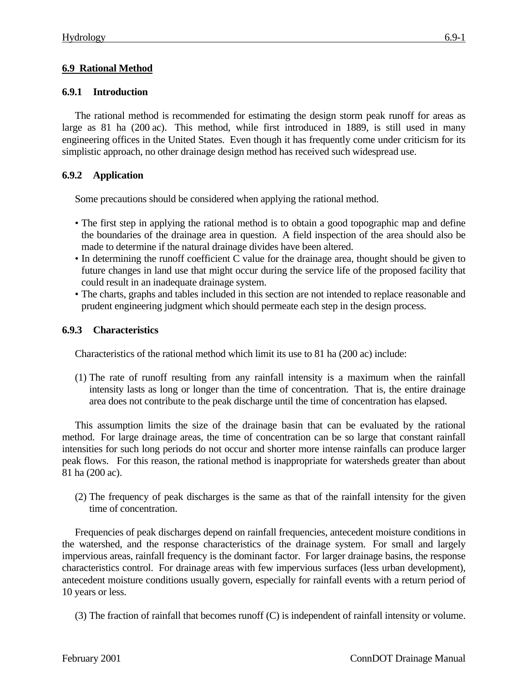# **6.9 Rational Method**

# **6.9.1 Introduction**

The rational method is recommended for estimating the design storm peak runoff for areas as large as 81 ha (200 ac). This method, while first introduced in 1889, is still used in many engineering offices in the United States. Even though it has frequently come under criticism for its simplistic approach, no other drainage design method has received such widespread use.

# **6.9.2 Application**

Some precautions should be considered when applying the rational method.

- The first step in applying the rational method is to obtain a good topographic map and define the boundaries of the drainage area in question. A field inspection of the area should also be made to determine if the natural drainage divides have been altered.
- In determining the runoff coefficient C value for the drainage area, thought should be given to future changes in land use that might occur during the service life of the proposed facility that could result in an inadequate drainage system.
- The charts, graphs and tables included in this section are not intended to replace reasonable and prudent engineering judgment which should permeate each step in the design process.

# **6.9.3 Characteristics**

Characteristics of the rational method which limit its use to 81 ha (200 ac) include:

(1) The rate of runoff resulting from any rainfall intensity is a maximum when the rainfall intensity lasts as long or longer than the time of concentration. That is, the entire drainage area does not contribute to the peak discharge until the time of concentration has elapsed.

This assumption limits the size of the drainage basin that can be evaluated by the rational method. For large drainage areas, the time of concentration can be so large that constant rainfall intensities for such long periods do not occur and shorter more intense rainfalls can produce larger peak flows. For this reason, the rational method is inappropriate for watersheds greater than about 81 ha (200 ac).

(2) The frequency of peak discharges is the same as that of the rainfall intensity for the given time of concentration.

Frequencies of peak discharges depend on rainfall frequencies, antecedent moisture conditions in the watershed, and the response characteristics of the drainage system. For small and largely impervious areas, rainfall frequency is the dominant factor. For larger drainage basins, the response characteristics control. For drainage areas with few impervious surfaces (less urban development), antecedent moisture conditions usually govern, especially for rainfall events with a return period of 10 years or less.

<sup>(3)</sup> The fraction of rainfall that becomes runoff (C) is independent of rainfall intensity or volume.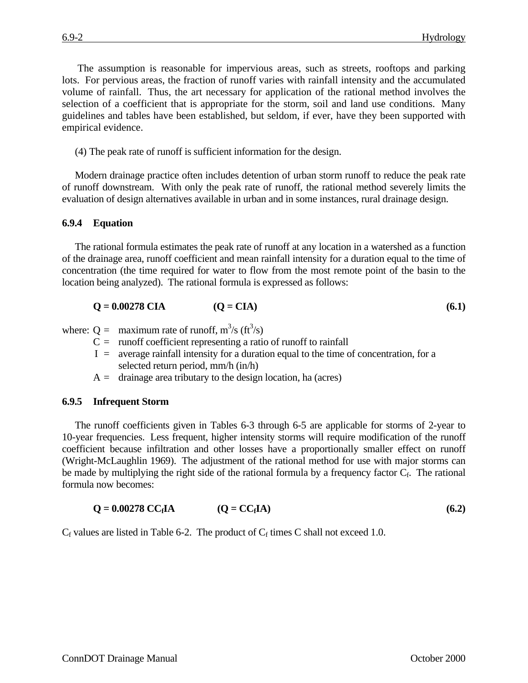The assumption is reasonable for impervious areas, such as streets, rooftops and parking lots. For pervious areas, the fraction of runoff varies with rainfall intensity and the accumulated volume of rainfall. Thus, the art necessary for application of the rational method involves the

selection of a coefficient that is appropriate for the storm, soil and land use conditions. Many guidelines and tables have been established, but seldom, if ever, have they been supported with empirical evidence.

(4) The peak rate of runoff is sufficient information for the design.

Modern drainage practice often includes detention of urban storm runoff to reduce the peak rate of runoff downstream. With only the peak rate of runoff, the rational method severely limits the evaluation of design alternatives available in urban and in some instances, rural drainage design.

## **6.9.4 Equation**

The rational formula estimates the peak rate of runoff at any location in a watershed as a function of the drainage area, runoff coefficient and mean rainfall intensity for a duration equal to the time of concentration (the time required for water to flow from the most remote point of the basin to the location being analyzed). The rational formula is expressed as follows:

$$
Q = 0.00278 \text{ CIA} \t (Q = CIA) \t (6.1)
$$

where:  $Q =$  maximum rate of runoff,  $m^3/s$  (ft<sup>3</sup>/s)

- $C =$  runoff coefficient representing a ratio of runoff to rainfall
- $I =$  average rainfall intensity for a duration equal to the time of concentration, for a selected return period, mm/h (in/h)
- $A =$  drainage area tributary to the design location, ha (acres)

### **6.9.5 Infrequent Storm**

The runoff coefficients given in Tables 6-3 through 6-5 are applicable for storms of 2-year to 10-year frequencies. Less frequent, higher intensity storms will require modification of the runoff coefficient because infiltration and other losses have a proportionally smaller effect on runoff (Wright-McLaughlin 1969). The adjustment of the rational method for use with major storms can be made by multiplying the right side of the rational formula by a frequency factor  $C_f$ . The rational formula now becomes:

$$
Q = 0.00278 \, CC_fIA \qquad (Q = CC_fIA) \qquad (6.2)
$$

 $C_f$  values are listed in Table 6-2. The product of  $C_f$  times C shall not exceed 1.0.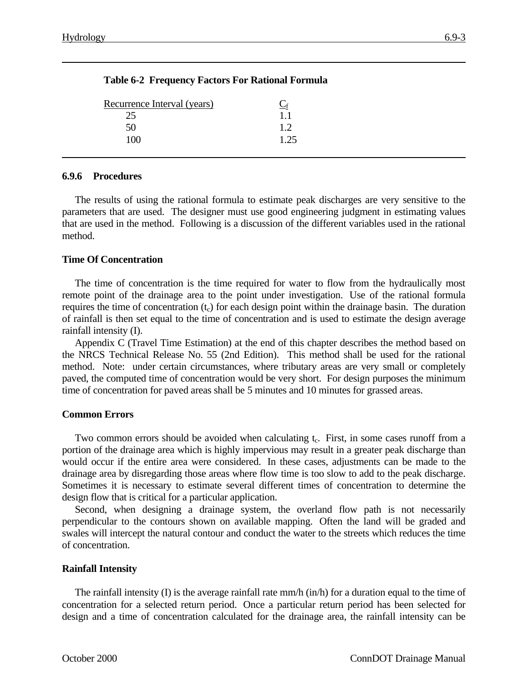| Recurrence Interval (years) | $C_{\rm f}$ |  |
|-----------------------------|-------------|--|
|                             | 1.1         |  |
| 50                          | 1.2.        |  |
| 100                         | 1.25        |  |
|                             |             |  |

## **Table 6-2 Frequency Factors For Rational Formula**

#### **6.9.6 Procedures**

The results of using the rational formula to estimate peak discharges are very sensitive to the parameters that are used. The designer must use good engineering judgment in estimating values that are used in the method. Following is a discussion of the different variables used in the rational method.

#### **Time Of Concentration**

The time of concentration is the time required for water to flow from the hydraulically most remote point of the drainage area to the point under investigation. Use of the rational formula requires the time of concentration (t<sub>c</sub>) for each design point within the drainage basin. The duration of rainfall is then set equal to the time of concentration and is used to estimate the design average rainfall intensity (I).

Appendix C (Travel Time Estimation) at the end of this chapter describes the method based on the NRCS Technical Release No. 55 (2nd Edition). This method shall be used for the rational method. Note: under certain circumstances, where tributary areas are very small or completely paved, the computed time of concentration would be very short. For design purposes the minimum time of concentration for paved areas shall be 5 minutes and 10 minutes for grassed areas.

#### **Common Errors**

Two common errors should be avoided when calculating t<sub>c</sub>. First, in some cases runoff from a portion of the drainage area which is highly impervious may result in a greater peak discharge than would occur if the entire area were considered. In these cases, adjustments can be made to the drainage area by disregarding those areas where flow time is too slow to add to the peak discharge. Sometimes it is necessary to estimate several different times of concentration to determine the design flow that is critical for a particular application.

Second, when designing a drainage system, the overland flow path is not necessarily perpendicular to the contours shown on available mapping. Often the land will be graded and swales will intercept the natural contour and conduct the water to the streets which reduces the time of concentration.

### **Rainfall Intensity**

The rainfall intensity (I) is the average rainfall rate mm/h (in/h) for a duration equal to the time of concentration for a selected return period. Once a particular return period has been selected for design and a time of concentration calculated for the drainage area, the rainfall intensity can be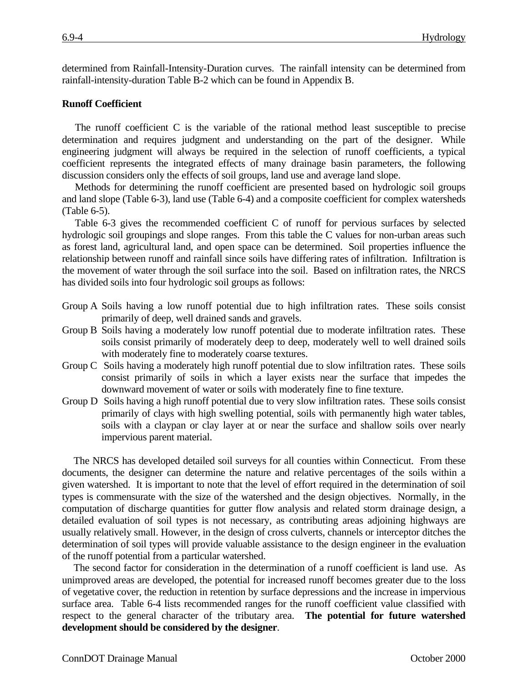determined from Rainfall-Intensity-Duration curves. The rainfall intensity can be determined from rainfall-intensity-duration Table B-2 which can be found in Appendix B.

### **Runoff Coefficient**

The runoff coefficient C is the variable of the rational method least susceptible to precise determination and requires judgment and understanding on the part of the designer. While engineering judgment will always be required in the selection of runoff coefficients, a typical coefficient represents the integrated effects of many drainage basin parameters, the following discussion considers only the effects of soil groups, land use and average land slope.

Methods for determining the runoff coefficient are presented based on hydrologic soil groups and land slope (Table 6-3), land use (Table 6-4) and a composite coefficient for complex watersheds (Table 6-5).

Table 6-3 gives the recommended coefficient C of runoff for pervious surfaces by selected hydrologic soil groupings and slope ranges. From this table the C values for non-urban areas such as forest land, agricultural land, and open space can be determined. Soil properties influence the relationship between runoff and rainfall since soils have differing rates of infiltration. Infiltration is the movement of water through the soil surface into the soil. Based on infiltration rates, the NRCS has divided soils into four hydrologic soil groups as follows:

- Group A Soils having a low runoff potential due to high infiltration rates. These soils consist primarily of deep, well drained sands and gravels.
- Group B Soils having a moderately low runoff potential due to moderate infiltration rates. These soils consist primarily of moderately deep to deep, moderately well to well drained soils with moderately fine to moderately coarse textures.
- Group C Soils having a moderately high runoff potential due to slow infiltration rates. These soils consist primarily of soils in which a layer exists near the surface that impedes the downward movement of water or soils with moderately fine to fine texture.
- Group D Soils having a high runoff potential due to very slow infiltration rates. These soils consist primarily of clays with high swelling potential, soils with permanently high water tables, soils with a claypan or clay layer at or near the surface and shallow soils over nearly impervious parent material.

The NRCS has developed detailed soil surveys for all counties within Connecticut. From these documents, the designer can determine the nature and relative percentages of the soils within a given watershed. It is important to note that the level of effort required in the determination of soil types is commensurate with the size of the watershed and the design objectives. Normally, in the computation of discharge quantities for gutter flow analysis and related storm drainage design, a detailed evaluation of soil types is not necessary, as contributing areas adjoining highways are usually relatively small. However, in the design of cross culverts, channels or interceptor ditches the determination of soil types will provide valuable assistance to the design engineer in the evaluation of the runoff potential from a particular watershed.

The second factor for consideration in the determination of a runoff coefficient is land use. As unimproved areas are developed, the potential for increased runoff becomes greater due to the loss of vegetative cover, the reduction in retention by surface depressions and the increase in impervious surface area. Table 6-4 lists recommended ranges for the runoff coefficient value classified with respect to the general character of the tributary area. **The potential for future watershed development should be considered by the designer**.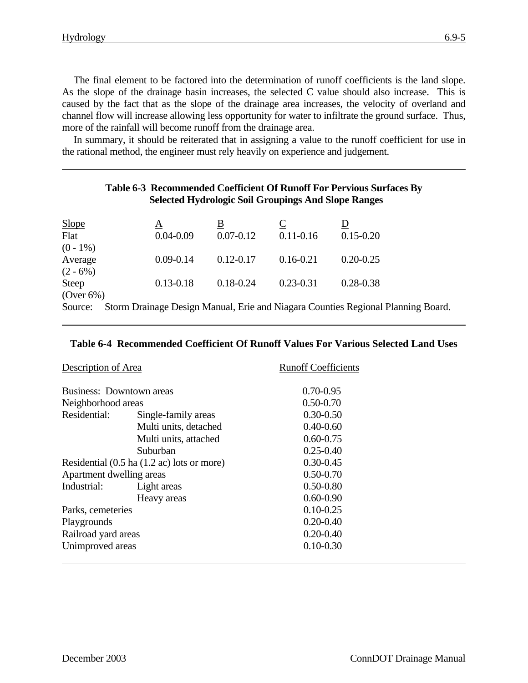The final element to be factored into the determination of runoff coefficients is the land slope. As the slope of the drainage basin increases, the selected C value should also increase. This is caused by the fact that as the slope of the drainage area increases, the velocity of overland and channel flow will increase allowing less opportunity for water to infiltrate the ground surface. Thus, more of the rainfall will become runoff from the drainage area.

In summary, it should be reiterated that in assigning a value to the runoff coefficient for use in the rational method, the engineer must rely heavily on experience and judgement.

| Table 6-3 Recommended Coefficient Of Runoff For Pervious Surfaces By<br><b>Selected Hydrologic Soil Groupings And Slope Ranges</b> |  |               |               |                |                                                                                  |  |
|------------------------------------------------------------------------------------------------------------------------------------|--|---------------|---------------|----------------|----------------------------------------------------------------------------------|--|
| <b>Slope</b>                                                                                                                       |  | A             | B             | $\overline{C}$ |                                                                                  |  |
| Flat<br>$(0 - 1\%)$                                                                                                                |  | $0.04 - 0.09$ | $0.07 - 0.12$ | $0.11 - 0.16$  | $0.15 - 0.20$                                                                    |  |
| Average<br>$(2 - 6\%)$                                                                                                             |  | $0.09 - 0.14$ | $0.12 - 0.17$ | $0.16 - 0.21$  | $0.20 - 0.25$                                                                    |  |
| Steep<br>$(Over 6\%)$                                                                                                              |  | $0.13 - 0.18$ | $0.18 - 0.24$ | $0.23 - 0.31$  | $0.28 - 0.38$                                                                    |  |
| Source:                                                                                                                            |  |               |               |                | Storm Drainage Design Manual, Erie and Niagara Counties Regional Planning Board. |  |

#### **Table 6-4 Recommended Coefficient Of Runoff Values For Various Selected Land Uses**

| Description of Area                        |                       | <b>Runoff Coefficients</b> |  |
|--------------------------------------------|-----------------------|----------------------------|--|
| <b>Business: Downtown areas</b>            |                       | $0.70 - 0.95$              |  |
| Neighborhood areas                         |                       | $0.50 - 0.70$              |  |
| Residential:                               | Single-family areas   | $0.30 - 0.50$              |  |
|                                            | Multi units, detached | $0.40 - 0.60$              |  |
|                                            | Multi units, attached | $0.60 - 0.75$              |  |
|                                            | Suburban              | $0.25 - 0.40$              |  |
| Residential (0.5 ha (1.2 ac) lots or more) |                       | $0.30 - 0.45$              |  |
| Apartment dwelling areas                   |                       | $0.50 - 0.70$              |  |
| Industrial:                                | Light areas           | $0.50 - 0.80$              |  |
|                                            | Heavy areas           | $0.60 - 0.90$              |  |
| Parks, cemeteries                          |                       | $0.10 - 0.25$              |  |
| Playgrounds                                |                       | $0.20 - 0.40$              |  |
| Railroad yard areas                        |                       | $0.20 - 0.40$              |  |
| Unimproved areas                           |                       | $0.10 - 0.30$              |  |
|                                            |                       |                            |  |